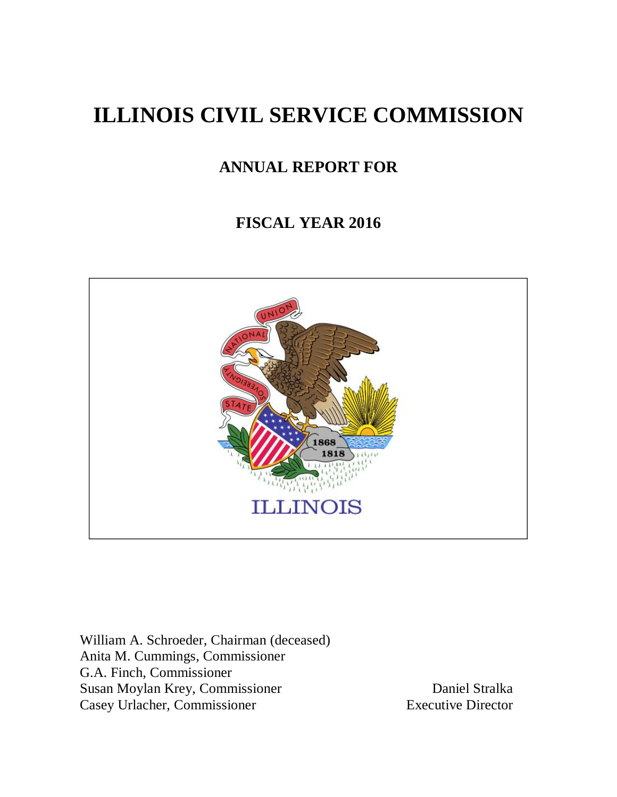# **ILLINOIS CIVIL SERVICE COMMISSION**

## **ANNUAL REPORT FOR**

## **FISCAL YEAR 2016**



William A. Schroeder, Chairman (deceased) Anita M. Cummings, Commissioner G.A. Finch, Commissioner Susan Moylan Krey, Commissioner Daniel Stralka Casey Urlacher, Commissioner Executive Director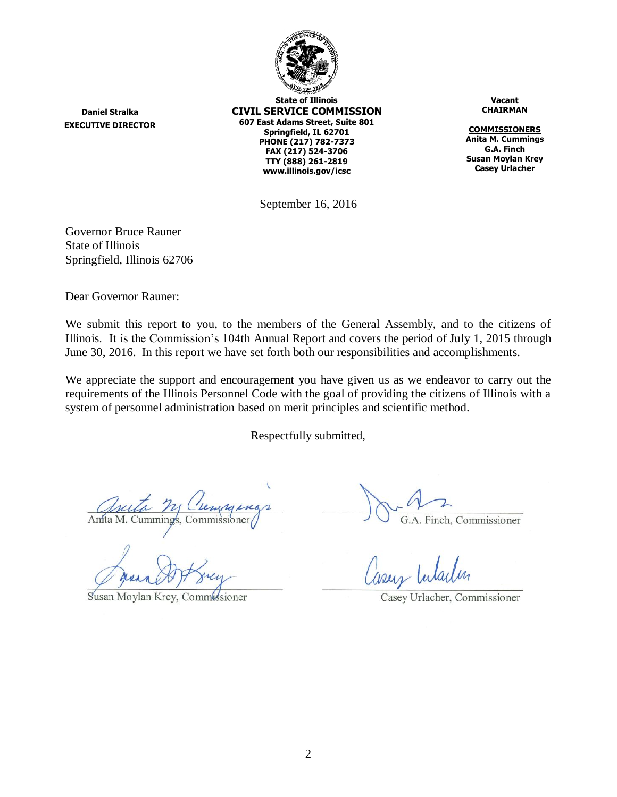

**State of Illinois CIVIL SERVICE COMMISSION 607 East Adams Street, Suite 801 Springfield, IL 62701 PHONE (217) 782-7373 FAX (217) 524-3706 TTY (888) 261-2819 www.illinois.gov/icsc**

**Vacant CHAIRMAN**

**COMMISSIONERS Anita M. Cummings G.A. Finch Susan Moylan Krey Casey Urlacher**

September 16, 2016

Governor Bruce Rauner State of Illinois Springfield, Illinois 62706

**Daniel Stralka EXECUTIVE DIRECTOR**

Dear Governor Rauner:

We submit this report to you, to the members of the General Assembly, and to the citizens of Illinois. It is the Commission's 104th Annual Report and covers the period of July 1, 2015 through June 30, 2016. In this report we have set forth both our responsibilities and accomplishments.

We appreciate the support and encouragement you have given us as we endeavor to carry out the requirements of the Illinois Personnel Code with the goal of providing the citizens of Illinois with a system of personnel administration based on merit principles and scientific method.

Respectfully submitted,

Anita M. Cummings, Commissioner

Susan Moylan Krey, Commissioner

G.A. Finch, Commissioner

Casey Urlacher, Commissioner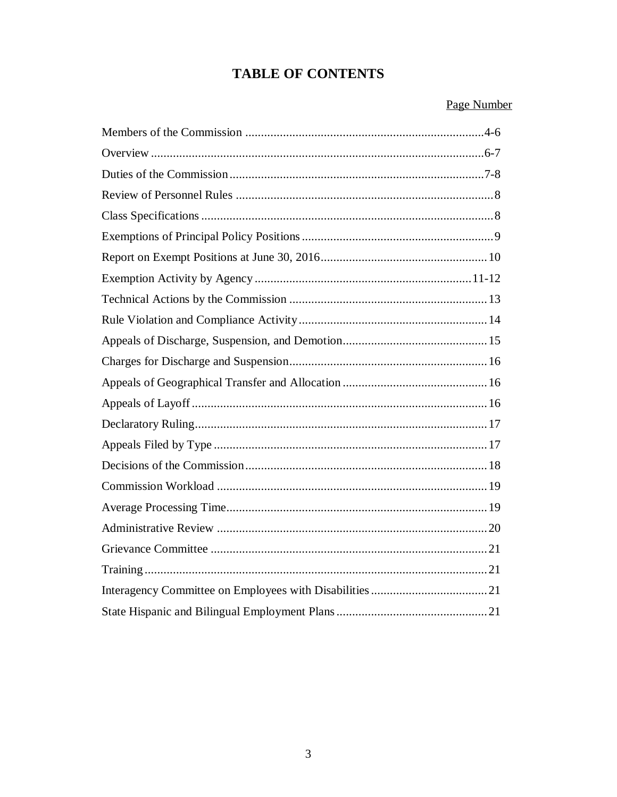## **TABLE OF CONTENTS**

## Page Number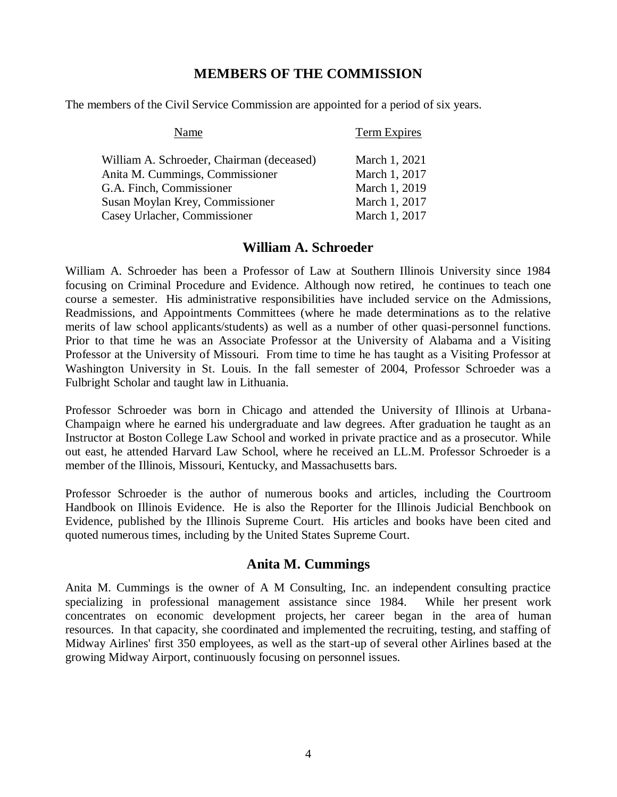#### **MEMBERS OF THE COMMISSION**

The members of the Civil Service Commission are appointed for a period of six years.

| Name                                      | Term Expires  |
|-------------------------------------------|---------------|
| William A. Schroeder, Chairman (deceased) | March 1, 2021 |
| Anita M. Cummings, Commissioner           | March 1, 2017 |
| G.A. Finch, Commissioner                  | March 1, 2019 |
| Susan Moylan Krey, Commissioner           | March 1, 2017 |
| Casey Urlacher, Commissioner              | March 1, 2017 |

#### **William A. Schroeder**

William A. Schroeder has been a Professor of Law at Southern Illinois University since 1984 focusing on Criminal Procedure and Evidence. Although now retired, he continues to teach one course a semester. His administrative responsibilities have included service on the Admissions, Readmissions, and Appointments Committees (where he made determinations as to the relative merits of law school applicants/students) as well as a number of other quasi-personnel functions. Prior to that time he was an Associate Professor at the University of Alabama and a Visiting Professor at the University of Missouri. From time to time he has taught as a Visiting Professor at Washington University in St. Louis. In the fall semester of 2004, Professor Schroeder was a Fulbright Scholar and taught law in Lithuania.

Professor Schroeder was born in Chicago and attended the University of Illinois at Urbana-Champaign where he earned his undergraduate and law degrees. After graduation he taught as an Instructor at Boston College Law School and worked in private practice and as a prosecutor. While out east, he attended Harvard Law School, where he received an LL.M. Professor Schroeder is a member of the Illinois, Missouri, Kentucky, and Massachusetts bars.

Professor Schroeder is the author of numerous books and articles, including the Courtroom Handbook on Illinois Evidence. He is also the Reporter for the Illinois Judicial Benchbook on Evidence, published by the Illinois Supreme Court. His articles and books have been cited and quoted numerous times, including by the United States Supreme Court.

#### **Anita M. Cummings**

Anita M. Cummings is the owner of A M Consulting, Inc. an independent consulting practice specializing in professional management assistance since 1984. While her present work concentrates on economic development projects, her career began in the area of human resources. In that capacity, she coordinated and implemented the recruiting, testing, and staffing of Midway Airlines' first 350 employees, as well as the start-up of several other Airlines based at the growing Midway Airport, continuously focusing on personnel issues.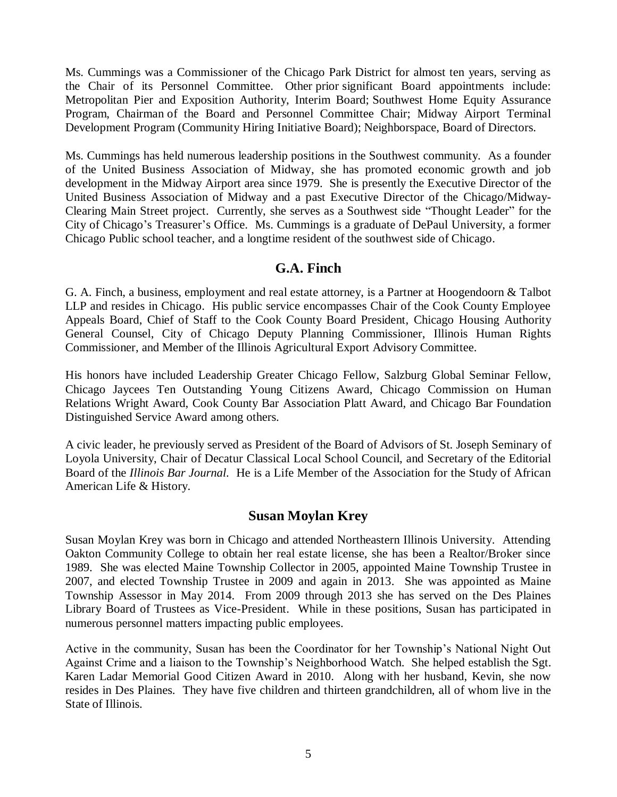Ms. Cummings was a Commissioner of the Chicago Park District for almost ten years, serving as the Chair of its Personnel Committee. Other prior significant Board appointments include: Metropolitan Pier and Exposition Authority, Interim Board; Southwest Home Equity Assurance Program, Chairman of the Board and Personnel Committee Chair; Midway Airport Terminal Development Program (Community Hiring Initiative Board); Neighborspace, Board of Directors.

Ms. Cummings has held numerous leadership positions in the Southwest community. As a founder of the United Business Association of Midway, she has promoted economic growth and job development in the Midway Airport area since 1979. She is presently the Executive Director of the United Business Association of Midway and a past Executive Director of the Chicago/Midway-Clearing Main Street project. Currently, she serves as a Southwest side "Thought Leader" for the City of Chicago's Treasurer's Office. Ms. Cummings is a graduate of DePaul University, a former Chicago Public school teacher, and a longtime resident of the southwest side of Chicago.

#### **G.A. Finch**

G. A. Finch, a business, employment and real estate attorney, is a Partner at Hoogendoorn & Talbot LLP and resides in Chicago. His public service encompasses Chair of the Cook County Employee Appeals Board, Chief of Staff to the Cook County Board President, Chicago Housing Authority General Counsel, City of Chicago Deputy Planning Commissioner, Illinois Human Rights Commissioner, and Member of the Illinois Agricultural Export Advisory Committee.

His honors have included Leadership Greater Chicago Fellow, Salzburg Global Seminar Fellow, Chicago Jaycees Ten Outstanding Young Citizens Award, Chicago Commission on Human Relations Wright Award, Cook County Bar Association Platt Award, and Chicago Bar Foundation Distinguished Service Award among others.

A civic leader, he previously served as President of the Board of Advisors of St. Joseph Seminary of Loyola University, Chair of Decatur Classical Local School Council, and Secretary of the Editorial Board of the *Illinois Bar Journal.* He is a Life Member of the Association for the Study of African American Life & History.

#### **Susan Moylan Krey**

Susan Moylan Krey was born in Chicago and attended Northeastern Illinois University. Attending Oakton Community College to obtain her real estate license, she has been a Realtor/Broker since 1989. She was elected Maine Township Collector in 2005, appointed Maine Township Trustee in 2007, and elected Township Trustee in 2009 and again in 2013. She was appointed as Maine Township Assessor in May 2014. From 2009 through 2013 she has served on the Des Plaines Library Board of Trustees as Vice-President. While in these positions, Susan has participated in numerous personnel matters impacting public employees.

Active in the community, Susan has been the Coordinator for her Township's National Night Out Against Crime and a liaison to the Township's Neighborhood Watch. She helped establish the Sgt. Karen Ladar Memorial Good Citizen Award in 2010. Along with her husband, Kevin, she now resides in Des Plaines. They have five children and thirteen grandchildren, all of whom live in the State of Illinois.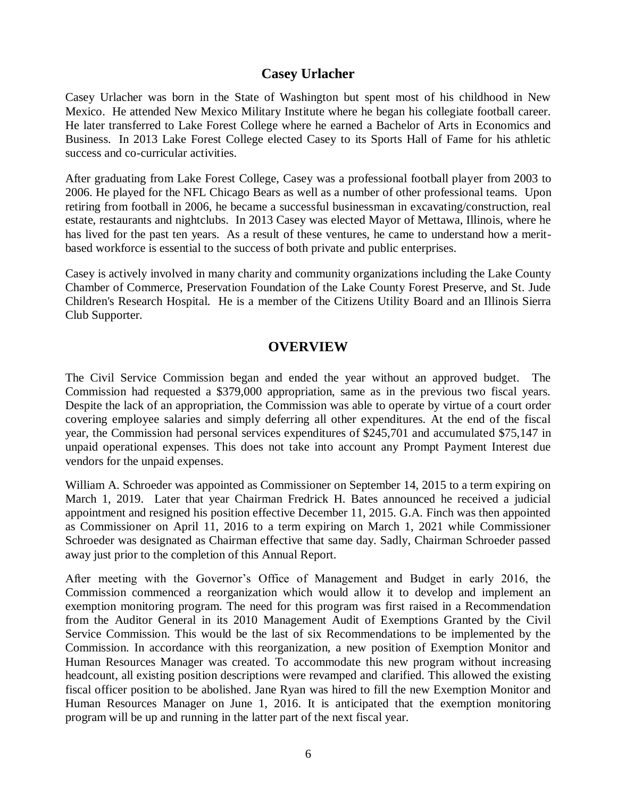## **Casey Urlacher**

Casey Urlacher was born in the State of Washington but spent most of his childhood in New Mexico. He attended New Mexico Military Institute where he began his collegiate football career. He later transferred to Lake Forest College where he earned a Bachelor of Arts in Economics and Business. In 2013 Lake Forest College elected Casey to its Sports Hall of Fame for his athletic success and co-curricular activities.

After graduating from Lake Forest College, Casey was a professional football player from 2003 to 2006. He played for the NFL Chicago Bears as well as a number of other professional teams. Upon retiring from football in 2006, he became a successful businessman in excavating/construction, real estate, restaurants and nightclubs. In 2013 Casey was elected Mayor of Mettawa, Illinois, where he has lived for the past ten years. As a result of these ventures, he came to understand how a meritbased workforce is essential to the success of both private and public enterprises.

Casey is actively involved in many charity and community organizations including the Lake County Chamber of Commerce, Preservation Foundation of the Lake County Forest Preserve, and St. Jude Children's Research Hospital. He is a member of the Citizens Utility Board and an Illinois Sierra Club Supporter.

#### **OVERVIEW**

The Civil Service Commission began and ended the year without an approved budget. The Commission had requested a \$379,000 appropriation, same as in the previous two fiscal years. Despite the lack of an appropriation, the Commission was able to operate by virtue of a court order covering employee salaries and simply deferring all other expenditures. At the end of the fiscal year, the Commission had personal services expenditures of \$245,701 and accumulated \$75,147 in unpaid operational expenses. This does not take into account any Prompt Payment Interest due vendors for the unpaid expenses.

William A. Schroeder was appointed as Commissioner on September 14, 2015 to a term expiring on March 1, 2019. Later that year Chairman Fredrick H. Bates announced he received a judicial appointment and resigned his position effective December 11, 2015. G.A. Finch was then appointed as Commissioner on April 11, 2016 to a term expiring on March 1, 2021 while Commissioner Schroeder was designated as Chairman effective that same day. Sadly, Chairman Schroeder passed away just prior to the completion of this Annual Report.

After meeting with the Governor's Office of Management and Budget in early 2016, the Commission commenced a reorganization which would allow it to develop and implement an exemption monitoring program. The need for this program was first raised in a Recommendation from the Auditor General in its 2010 Management Audit of Exemptions Granted by the Civil Service Commission. This would be the last of six Recommendations to be implemented by the Commission. In accordance with this reorganization, a new position of Exemption Monitor and Human Resources Manager was created. To accommodate this new program without increasing headcount, all existing position descriptions were revamped and clarified. This allowed the existing fiscal officer position to be abolished. Jane Ryan was hired to fill the new Exemption Monitor and Human Resources Manager on June 1, 2016. It is anticipated that the exemption monitoring program will be up and running in the latter part of the next fiscal year.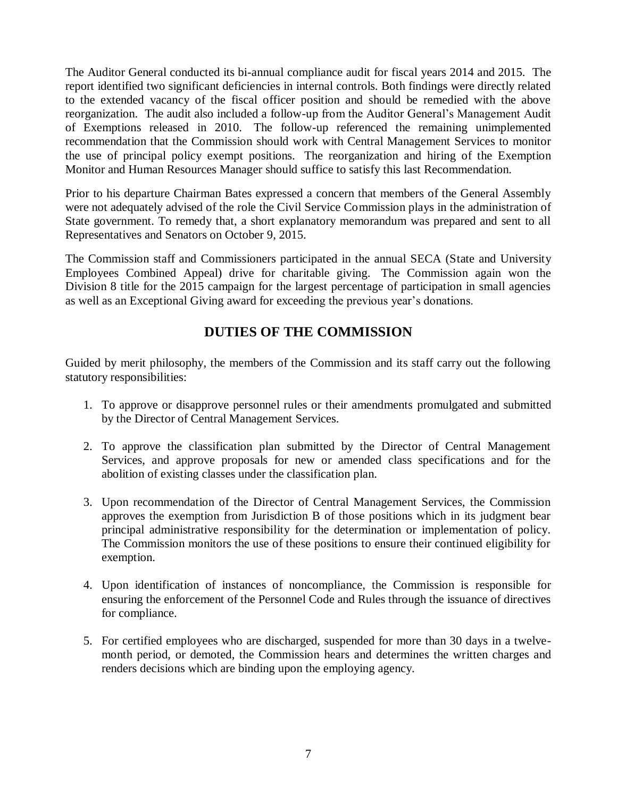The Auditor General conducted its bi-annual compliance audit for fiscal years 2014 and 2015. The report identified two significant deficiencies in internal controls. Both findings were directly related to the extended vacancy of the fiscal officer position and should be remedied with the above reorganization. The audit also included a follow-up from the Auditor General's Management Audit of Exemptions released in 2010. The follow-up referenced the remaining unimplemented recommendation that the Commission should work with Central Management Services to monitor the use of principal policy exempt positions. The reorganization and hiring of the Exemption Monitor and Human Resources Manager should suffice to satisfy this last Recommendation.

Prior to his departure Chairman Bates expressed a concern that members of the General Assembly were not adequately advised of the role the Civil Service Commission plays in the administration of State government. To remedy that, a short explanatory memorandum was prepared and sent to all Representatives and Senators on October 9, 2015.

The Commission staff and Commissioners participated in the annual SECA (State and University Employees Combined Appeal) drive for charitable giving. The Commission again won the Division 8 title for the 2015 campaign for the largest percentage of participation in small agencies as well as an Exceptional Giving award for exceeding the previous year's donations.

## **DUTIES OF THE COMMISSION**

Guided by merit philosophy, the members of the Commission and its staff carry out the following statutory responsibilities:

- 1. To approve or disapprove personnel rules or their amendments promulgated and submitted by the Director of Central Management Services.
- 2. To approve the classification plan submitted by the Director of Central Management Services, and approve proposals for new or amended class specifications and for the abolition of existing classes under the classification plan.
- 3. Upon recommendation of the Director of Central Management Services, the Commission approves the exemption from Jurisdiction B of those positions which in its judgment bear principal administrative responsibility for the determination or implementation of policy. The Commission monitors the use of these positions to ensure their continued eligibility for exemption.
- 4. Upon identification of instances of noncompliance, the Commission is responsible for ensuring the enforcement of the Personnel Code and Rules through the issuance of directives for compliance.
- 5. For certified employees who are discharged, suspended for more than 30 days in a twelvemonth period, or demoted, the Commission hears and determines the written charges and renders decisions which are binding upon the employing agency.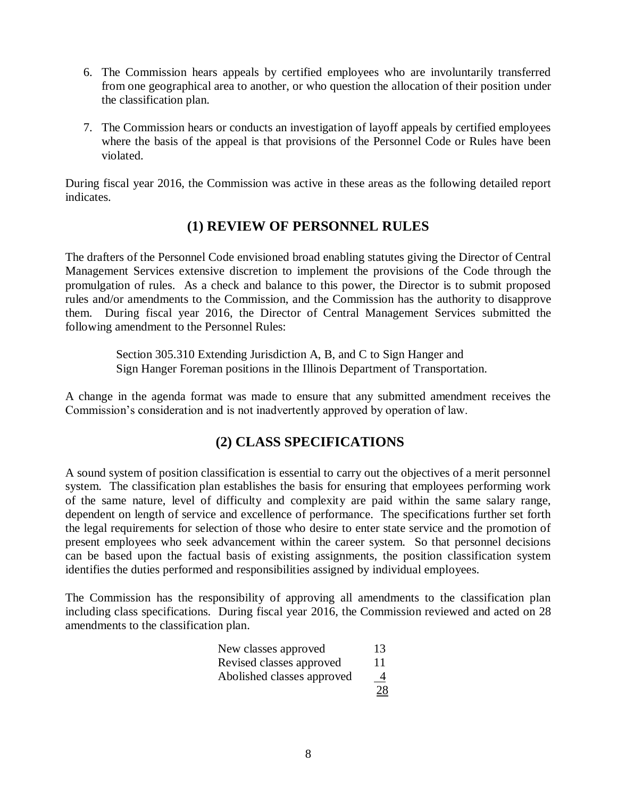- 6. The Commission hears appeals by certified employees who are involuntarily transferred from one geographical area to another, or who question the allocation of their position under the classification plan.
- 7. The Commission hears or conducts an investigation of layoff appeals by certified employees where the basis of the appeal is that provisions of the Personnel Code or Rules have been violated.

During fiscal year 2016, the Commission was active in these areas as the following detailed report indicates.

## **(1) REVIEW OF PERSONNEL RULES**

The drafters of the Personnel Code envisioned broad enabling statutes giving the Director of Central Management Services extensive discretion to implement the provisions of the Code through the promulgation of rules. As a check and balance to this power, the Director is to submit proposed rules and/or amendments to the Commission, and the Commission has the authority to disapprove them. During fiscal year 2016, the Director of Central Management Services submitted the following amendment to the Personnel Rules:

> Section 305.310 Extending Jurisdiction A, B, and C to Sign Hanger and Sign Hanger Foreman positions in the Illinois Department of Transportation.

A change in the agenda format was made to ensure that any submitted amendment receives the Commission's consideration and is not inadvertently approved by operation of law.

## **(2) CLASS SPECIFICATIONS**

A sound system of position classification is essential to carry out the objectives of a merit personnel system. The classification plan establishes the basis for ensuring that employees performing work of the same nature, level of difficulty and complexity are paid within the same salary range, dependent on length of service and excellence of performance. The specifications further set forth the legal requirements for selection of those who desire to enter state service and the promotion of present employees who seek advancement within the career system. So that personnel decisions can be based upon the factual basis of existing assignments, the position classification system identifies the duties performed and responsibilities assigned by individual employees.

The Commission has the responsibility of approving all amendments to the classification plan including class specifications. During fiscal year 2016, the Commission reviewed and acted on 28 amendments to the classification plan.

| New classes approved       | 13             |
|----------------------------|----------------|
| Revised classes approved   | 11             |
| Abolished classes approved | $\overline{4}$ |
|                            | 28             |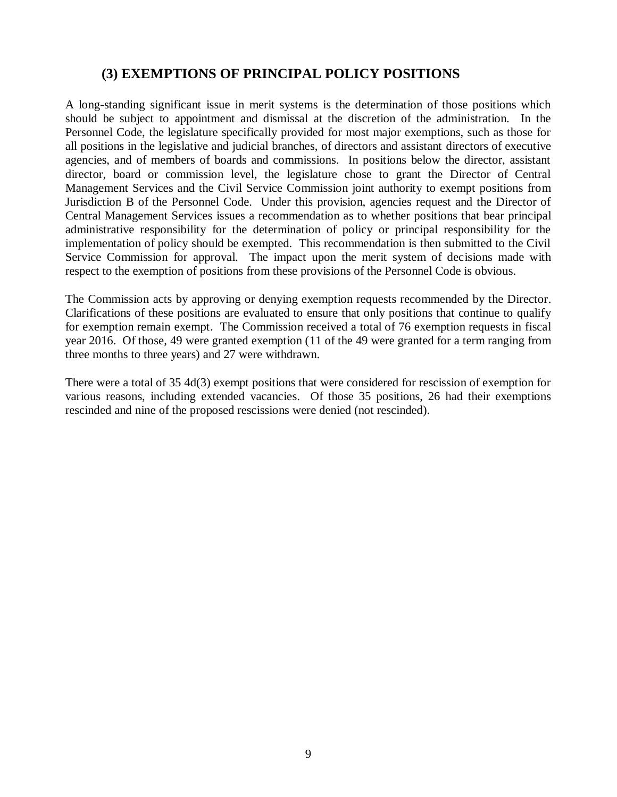## **(3) EXEMPTIONS OF PRINCIPAL POLICY POSITIONS**

A long-standing significant issue in merit systems is the determination of those positions which should be subject to appointment and dismissal at the discretion of the administration. In the Personnel Code, the legislature specifically provided for most major exemptions, such as those for all positions in the legislative and judicial branches, of directors and assistant directors of executive agencies, and of members of boards and commissions. In positions below the director, assistant director, board or commission level, the legislature chose to grant the Director of Central Management Services and the Civil Service Commission joint authority to exempt positions from Jurisdiction B of the Personnel Code. Under this provision, agencies request and the Director of Central Management Services issues a recommendation as to whether positions that bear principal administrative responsibility for the determination of policy or principal responsibility for the implementation of policy should be exempted. This recommendation is then submitted to the Civil Service Commission for approval. The impact upon the merit system of decisions made with respect to the exemption of positions from these provisions of the Personnel Code is obvious.

The Commission acts by approving or denying exemption requests recommended by the Director. Clarifications of these positions are evaluated to ensure that only positions that continue to qualify for exemption remain exempt. The Commission received a total of 76 exemption requests in fiscal year 2016. Of those, 49 were granted exemption (11 of the 49 were granted for a term ranging from three months to three years) and 27 were withdrawn.

There were a total of 35 4d(3) exempt positions that were considered for rescission of exemption for various reasons, including extended vacancies. Of those 35 positions, 26 had their exemptions rescinded and nine of the proposed rescissions were denied (not rescinded).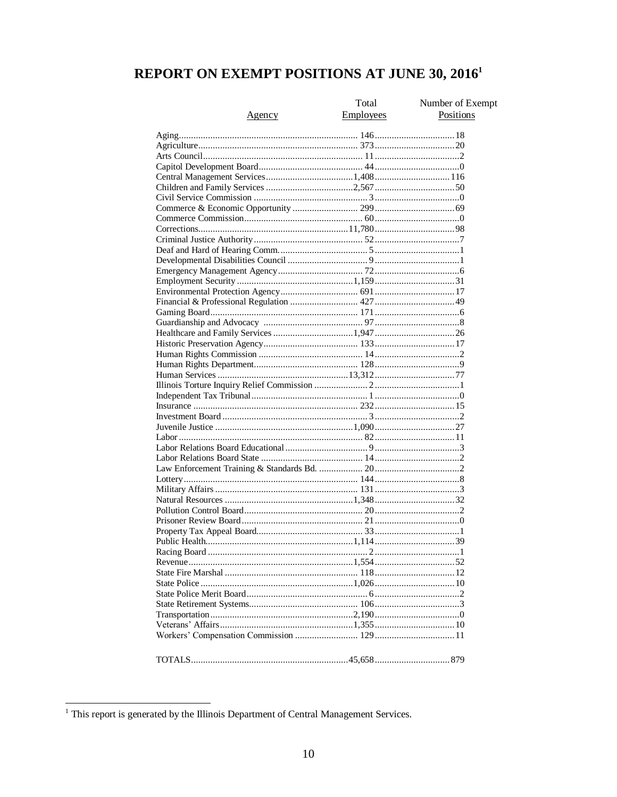## REPORT ON EXEMPT POSITIONS AT JUNE 30, 2016<sup>1</sup>

| <u>Agency</u> | Total<br><b>Employees</b> | Number of Exempt<br>Positions |
|---------------|---------------------------|-------------------------------|
|               |                           |                               |
|               |                           |                               |
|               |                           |                               |
|               |                           |                               |
|               |                           |                               |
|               |                           |                               |
|               |                           |                               |
|               |                           |                               |
|               |                           |                               |
|               |                           |                               |
|               |                           |                               |
|               |                           |                               |
|               |                           |                               |
|               |                           |                               |
|               |                           |                               |
|               |                           |                               |
|               |                           |                               |
|               |                           |                               |
|               |                           |                               |
|               |                           |                               |
|               |                           |                               |
|               |                           |                               |
|               |                           |                               |
|               |                           |                               |
|               |                           |                               |
|               |                           |                               |
|               |                           |                               |
|               |                           |                               |
|               |                           |                               |
|               |                           |                               |
|               |                           |                               |
|               |                           |                               |
|               |                           |                               |
|               |                           |                               |
|               |                           |                               |
|               |                           |                               |
|               |                           |                               |
|               |                           |                               |
|               |                           |                               |
|               |                           |                               |
|               |                           |                               |
|               |                           |                               |
|               |                           |                               |
|               |                           |                               |
|               |                           |                               |
|               |                           |                               |
|               |                           |                               |
|               |                           |                               |
|               |                           |                               |
|               |                           |                               |
|               |                           |                               |
|               |                           |                               |

<sup>&</sup>lt;sup>1</sup> This report is generated by the Illinois Department of Central Management Services.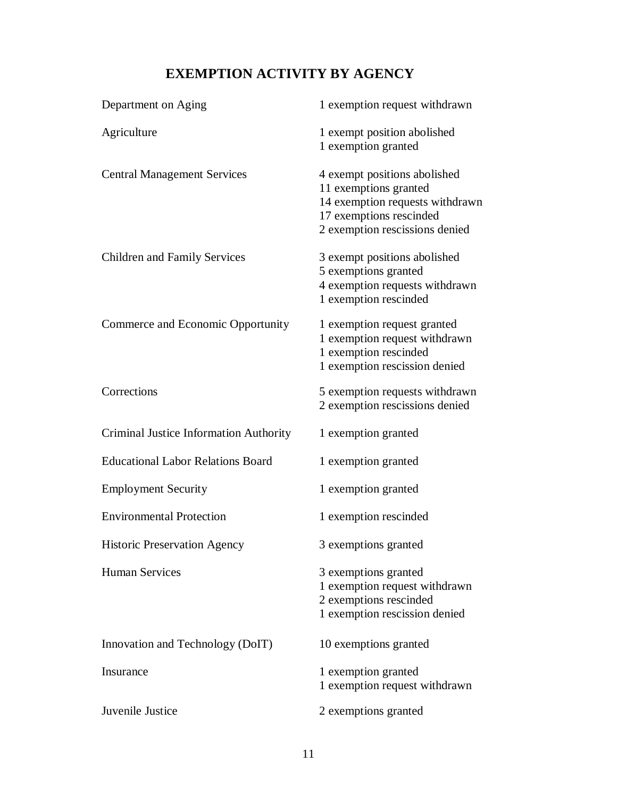## **EXEMPTION ACTIVITY BY AGENCY**

| Department on Aging                      | 1 exemption request withdrawn                                                                                                                         |
|------------------------------------------|-------------------------------------------------------------------------------------------------------------------------------------------------------|
| Agriculture                              | 1 exempt position abolished<br>1 exemption granted                                                                                                    |
| <b>Central Management Services</b>       | 4 exempt positions abolished<br>11 exemptions granted<br>14 exemption requests withdrawn<br>17 exemptions rescinded<br>2 exemption rescissions denied |
| <b>Children and Family Services</b>      | 3 exempt positions abolished<br>5 exemptions granted<br>4 exemption requests withdrawn<br>1 exemption rescinded                                       |
| Commerce and Economic Opportunity        | 1 exemption request granted<br>1 exemption request withdrawn<br>1 exemption rescinded<br>1 exemption rescission denied                                |
| Corrections                              | 5 exemption requests withdrawn<br>2 exemption rescissions denied                                                                                      |
| Criminal Justice Information Authority   | 1 exemption granted                                                                                                                                   |
| <b>Educational Labor Relations Board</b> | 1 exemption granted                                                                                                                                   |
| <b>Employment Security</b>               | 1 exemption granted                                                                                                                                   |
| <b>Environmental Protection</b>          | 1 exemption rescinded                                                                                                                                 |
| <b>Historic Preservation Agency</b>      | 3 exemptions granted                                                                                                                                  |
| <b>Human Services</b>                    | 3 exemptions granted<br>1 exemption request withdrawn<br>2 exemptions rescinded<br>1 exemption rescission denied                                      |
| Innovation and Technology (DoIT)         | 10 exemptions granted                                                                                                                                 |
| Insurance                                | 1 exemption granted<br>1 exemption request withdrawn                                                                                                  |
| Juvenile Justice                         | 2 exemptions granted                                                                                                                                  |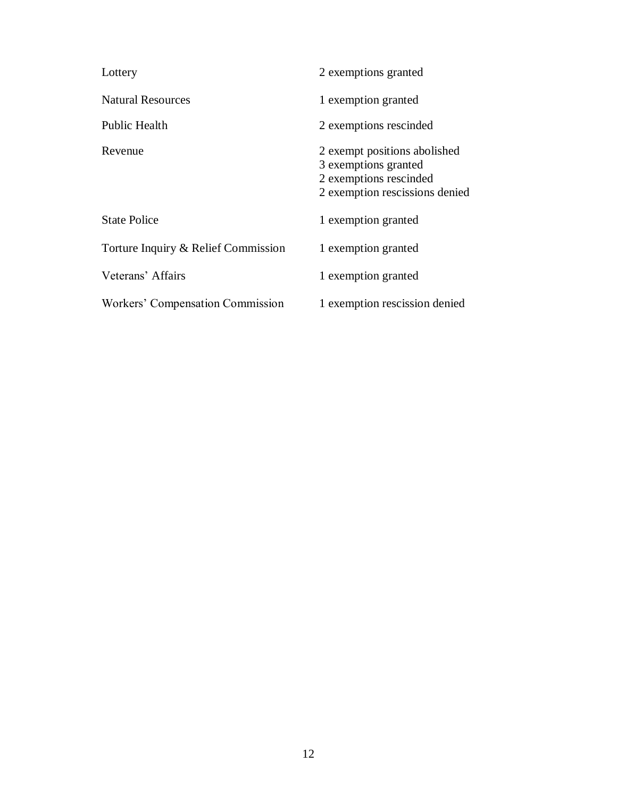| Lottery                             | 2 exemptions granted                                                                                             |
|-------------------------------------|------------------------------------------------------------------------------------------------------------------|
| <b>Natural Resources</b>            | 1 exemption granted                                                                                              |
| <b>Public Health</b>                | 2 exemptions rescinded                                                                                           |
| Revenue                             | 2 exempt positions abolished<br>3 exemptions granted<br>2 exemptions rescinded<br>2 exemption rescissions denied |
| <b>State Police</b>                 | 1 exemption granted                                                                                              |
| Torture Inquiry & Relief Commission | 1 exemption granted                                                                                              |
| Veterans' Affairs                   | 1 exemption granted                                                                                              |
| Workers' Compensation Commission    | 1 exemption rescission denied                                                                                    |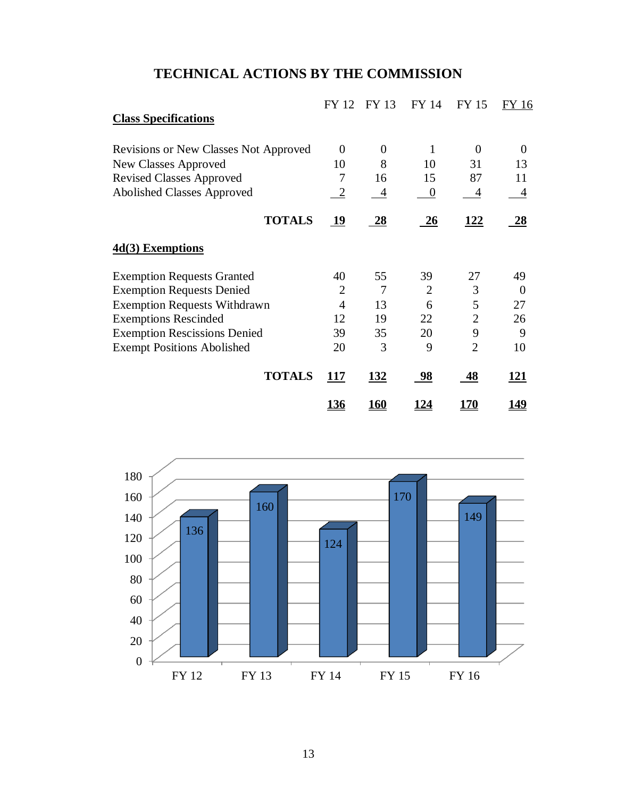## **TECHNICAL ACTIONS BY THE COMMISSION**

|                                              | FY 12          | FY 13       | FY 14     | <b>FY 15</b>   | <b>FY 16</b> |
|----------------------------------------------|----------------|-------------|-----------|----------------|--------------|
| <b>Class Specifications</b>                  |                |             |           |                |              |
| <b>Revisions or New Classes Not Approved</b> | $\overline{0}$ | $\theta$    | 1         | $\Omega$       | $\Omega$     |
| New Classes Approved                         | 10             | 8           | 10        | 31             | 13           |
| <b>Revised Classes Approved</b>              | 7              | 16          | 15        | 87             | 11           |
| Abolished Classes Approved                   | $\overline{2}$ | 4           | $\theta$  | 4              | 4            |
| <b>TOTALS</b>                                | <u> 19</u>     | <u>28</u>   | 26        | <u> 122</u>    | 28           |
| 4d(3) Exemptions                             |                |             |           |                |              |
| <b>Exemption Requests Granted</b>            | 40             | 55          | 39        | 27             | 49           |
| <b>Exemption Requests Denied</b>             | $\overline{2}$ | 7           | 2         | 3              | $\Omega$     |
| <b>Exemption Requests Withdrawn</b>          | $\overline{4}$ | 13          | 6         | 5              | 27           |
| <b>Exemptions Rescinded</b>                  | 12             | 19          | 22        | $\overline{2}$ | 26           |
| <b>Exemption Rescissions Denied</b>          | 39             | 35          | 20        | 9              | 9            |
| <b>Exempt Positions Abolished</b>            | 20             | 3           | 9         | $\overline{2}$ | 10           |
| <b>TOTALS</b>                                | <u>117</u>     | <u>132</u>  | 98        | 48             | <u> 121</u>  |
|                                              | <u> 136</u>    | <u> 160</u> | <u>24</u> | 170            | <u> 149</u>  |

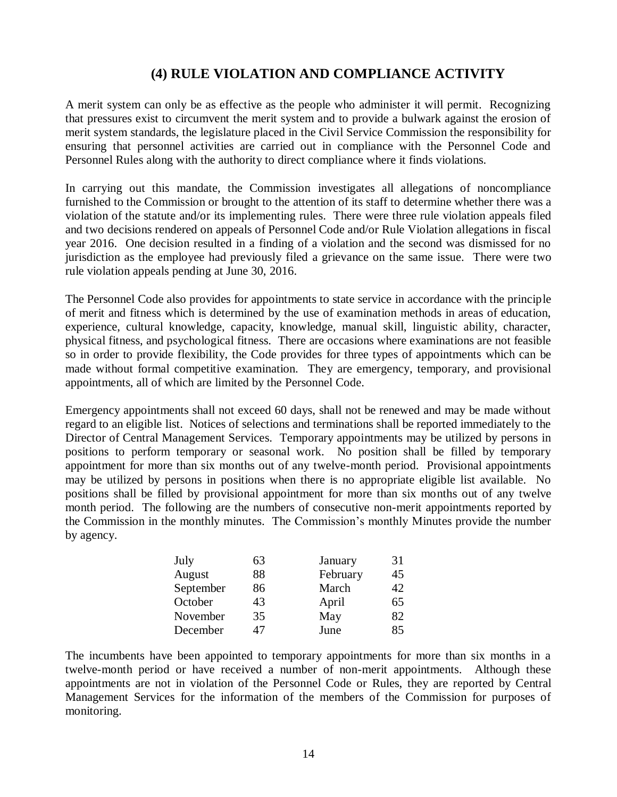## **(4) RULE VIOLATION AND COMPLIANCE ACTIVITY**

A merit system can only be as effective as the people who administer it will permit. Recognizing that pressures exist to circumvent the merit system and to provide a bulwark against the erosion of merit system standards, the legislature placed in the Civil Service Commission the responsibility for ensuring that personnel activities are carried out in compliance with the Personnel Code and Personnel Rules along with the authority to direct compliance where it finds violations.

In carrying out this mandate, the Commission investigates all allegations of noncompliance furnished to the Commission or brought to the attention of its staff to determine whether there was a violation of the statute and/or its implementing rules. There were three rule violation appeals filed and two decisions rendered on appeals of Personnel Code and/or Rule Violation allegations in fiscal year 2016. One decision resulted in a finding of a violation and the second was dismissed for no jurisdiction as the employee had previously filed a grievance on the same issue. There were two rule violation appeals pending at June 30, 2016.

The Personnel Code also provides for appointments to state service in accordance with the principle of merit and fitness which is determined by the use of examination methods in areas of education, experience, cultural knowledge, capacity, knowledge, manual skill, linguistic ability, character, physical fitness, and psychological fitness. There are occasions where examinations are not feasible so in order to provide flexibility, the Code provides for three types of appointments which can be made without formal competitive examination. They are emergency, temporary, and provisional appointments, all of which are limited by the Personnel Code.

Emergency appointments shall not exceed 60 days, shall not be renewed and may be made without regard to an eligible list. Notices of selections and terminations shall be reported immediately to the Director of Central Management Services. Temporary appointments may be utilized by persons in positions to perform temporary or seasonal work. No position shall be filled by temporary appointment for more than six months out of any twelve-month period. Provisional appointments may be utilized by persons in positions when there is no appropriate eligible list available. No positions shall be filled by provisional appointment for more than six months out of any twelve month period. The following are the numbers of consecutive non-merit appointments reported by the Commission in the monthly minutes. The Commission's monthly Minutes provide the number by agency.

| July      | 63 | January  | 31 |
|-----------|----|----------|----|
| August    | 88 | February | 45 |
| September | 86 | March    | 42 |
| October   | 43 | April    | 65 |
| November  | 35 | May      | 82 |
| December  | 47 | June     | 85 |

The incumbents have been appointed to temporary appointments for more than six months in a twelve-month period or have received a number of non-merit appointments. Although these appointments are not in violation of the Personnel Code or Rules, they are reported by Central Management Services for the information of the members of the Commission for purposes of monitoring.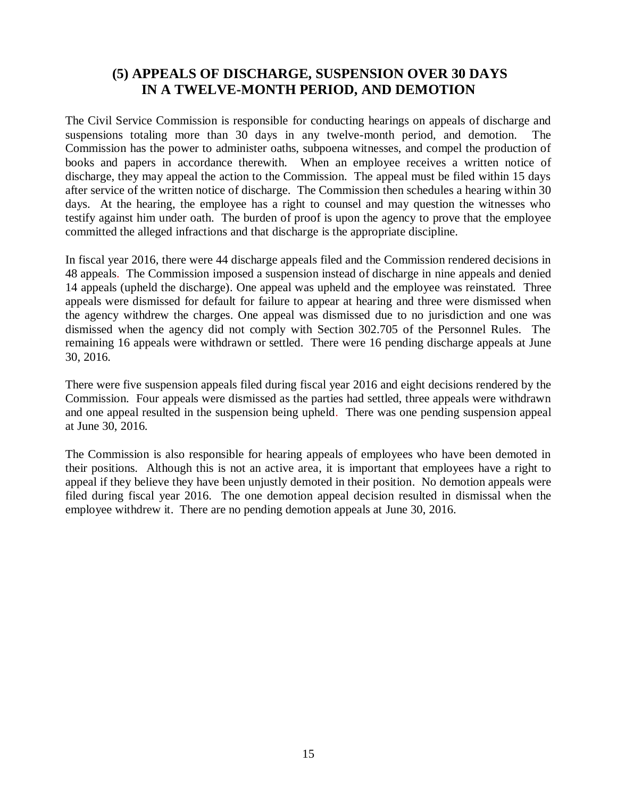### **(5) APPEALS OF DISCHARGE, SUSPENSION OVER 30 DAYS IN A TWELVE-MONTH PERIOD, AND DEMOTION**

The Civil Service Commission is responsible for conducting hearings on appeals of discharge and suspensions totaling more than 30 days in any twelve-month period, and demotion. The Commission has the power to administer oaths, subpoena witnesses, and compel the production of books and papers in accordance therewith. When an employee receives a written notice of discharge, they may appeal the action to the Commission. The appeal must be filed within 15 days after service of the written notice of discharge. The Commission then schedules a hearing within 30 days. At the hearing, the employee has a right to counsel and may question the witnesses who testify against him under oath. The burden of proof is upon the agency to prove that the employee committed the alleged infractions and that discharge is the appropriate discipline.

In fiscal year 2016, there were 44 discharge appeals filed and the Commission rendered decisions in 48 appeals. The Commission imposed a suspension instead of discharge in nine appeals and denied 14 appeals (upheld the discharge). One appeal was upheld and the employee was reinstated. Three appeals were dismissed for default for failure to appear at hearing and three were dismissed when the agency withdrew the charges. One appeal was dismissed due to no jurisdiction and one was dismissed when the agency did not comply with Section 302.705 of the Personnel Rules. The remaining 16 appeals were withdrawn or settled. There were 16 pending discharge appeals at June 30, 2016.

There were five suspension appeals filed during fiscal year 2016 and eight decisions rendered by the Commission. Four appeals were dismissed as the parties had settled, three appeals were withdrawn and one appeal resulted in the suspension being upheld. There was one pending suspension appeal at June 30, 2016.

The Commission is also responsible for hearing appeals of employees who have been demoted in their positions. Although this is not an active area, it is important that employees have a right to appeal if they believe they have been unjustly demoted in their position. No demotion appeals were filed during fiscal year 2016. The one demotion appeal decision resulted in dismissal when the employee withdrew it. There are no pending demotion appeals at June 30, 2016.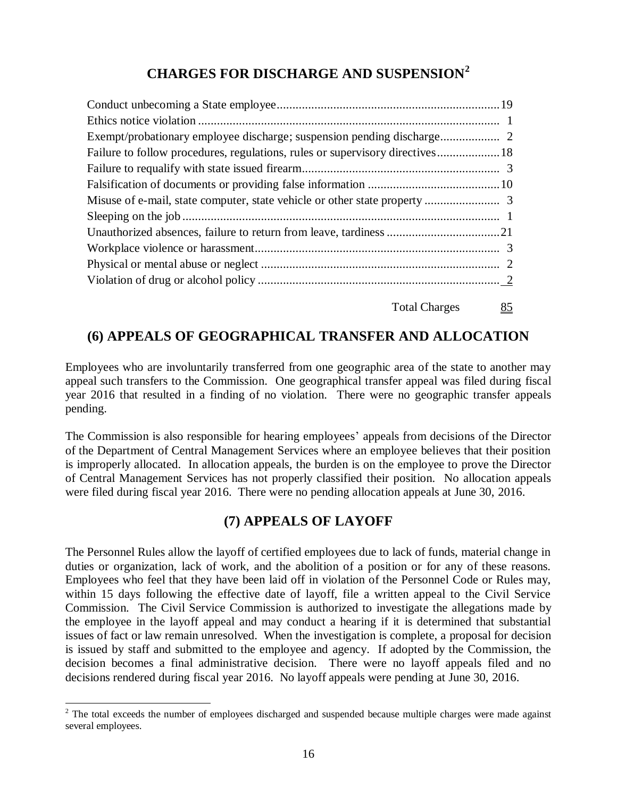## **CHARGES FOR DISCHARGE AND SUSPENSION<sup>2</sup>**

| Failure to follow procedures, regulations, rules or supervisory directives 18 |  |
|-------------------------------------------------------------------------------|--|
|                                                                               |  |
|                                                                               |  |
|                                                                               |  |
|                                                                               |  |
|                                                                               |  |
|                                                                               |  |
|                                                                               |  |
|                                                                               |  |
|                                                                               |  |

Total Charges 85

## **(6) APPEALS OF GEOGRAPHICAL TRANSFER AND ALLOCATION**

Employees who are involuntarily transferred from one geographic area of the state to another may appeal such transfers to the Commission. One geographical transfer appeal was filed during fiscal year 2016 that resulted in a finding of no violation. There were no geographic transfer appeals pending.

The Commission is also responsible for hearing employees' appeals from decisions of the Director of the Department of Central Management Services where an employee believes that their position is improperly allocated. In allocation appeals, the burden is on the employee to prove the Director of Central Management Services has not properly classified their position. No allocation appeals were filed during fiscal year 2016. There were no pending allocation appeals at June 30, 2016.

## **(7) APPEALS OF LAYOFF**

The Personnel Rules allow the layoff of certified employees due to lack of funds, material change in duties or organization, lack of work, and the abolition of a position or for any of these reasons. Employees who feel that they have been laid off in violation of the Personnel Code or Rules may, within 15 days following the effective date of layoff, file a written appeal to the Civil Service Commission. The Civil Service Commission is authorized to investigate the allegations made by the employee in the layoff appeal and may conduct a hearing if it is determined that substantial issues of fact or law remain unresolved. When the investigation is complete, a proposal for decision is issued by staff and submitted to the employee and agency. If adopted by the Commission, the decision becomes a final administrative decision. There were no layoff appeals filed and no decisions rendered during fiscal year 2016. No layoff appeals were pending at June 30, 2016.

 $\overline{a}$ 

<sup>&</sup>lt;sup>2</sup> The total exceeds the number of employees discharged and suspended because multiple charges were made against several employees.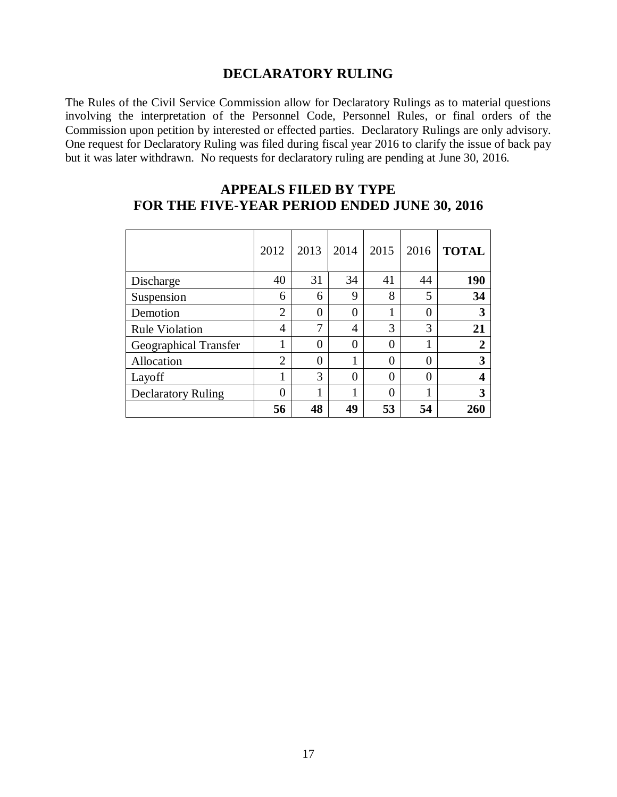#### **DECLARATORY RULING**

The Rules of the Civil Service Commission allow for Declaratory Rulings as to material questions involving the interpretation of the Personnel Code, Personnel Rules, or final orders of the Commission upon petition by interested or effected parties. Declaratory Rulings are only advisory. One request for Declaratory Ruling was filed during fiscal year 2016 to clarify the issue of back pay but it was later withdrawn. No requests for declaratory ruling are pending at June 30, 2016.

|                              | 2012           | 2013 | 2014           | 2015           | 2016     | <b>TOTAL</b> |
|------------------------------|----------------|------|----------------|----------------|----------|--------------|
| Discharge                    | 40             | 31   | 34             | 41             | 44       | 190          |
| Suspension                   | 6              | 6    | 9              | 8              | 5        | 34           |
| Demotion                     | $\overline{2}$ | 0    | 0              | 1              | 0        | 3            |
| <b>Rule Violation</b>        | $\overline{4}$ | 7    | $\overline{4}$ | 3              | 3        | 21           |
| <b>Geographical Transfer</b> | 1              | 0    | $\theta$       | $\overline{0}$ | 1        | 2            |
| Allocation                   | $\overline{2}$ | 0    |                | $\theta$       | $\theta$ | 3            |
| Layoff                       | 1              | 3    | $\theta$       | $\theta$       | $\theta$ | 4            |
| <b>Declaratory Ruling</b>    | 0              |      | 1              | $\theta$       | 1        | 3            |
|                              | 56             | 48   | 49             | 53             | 54       | 260          |

## **APPEALS FILED BY TYPE FOR THE FIVE-YEAR PERIOD ENDED JUNE 30, 2016**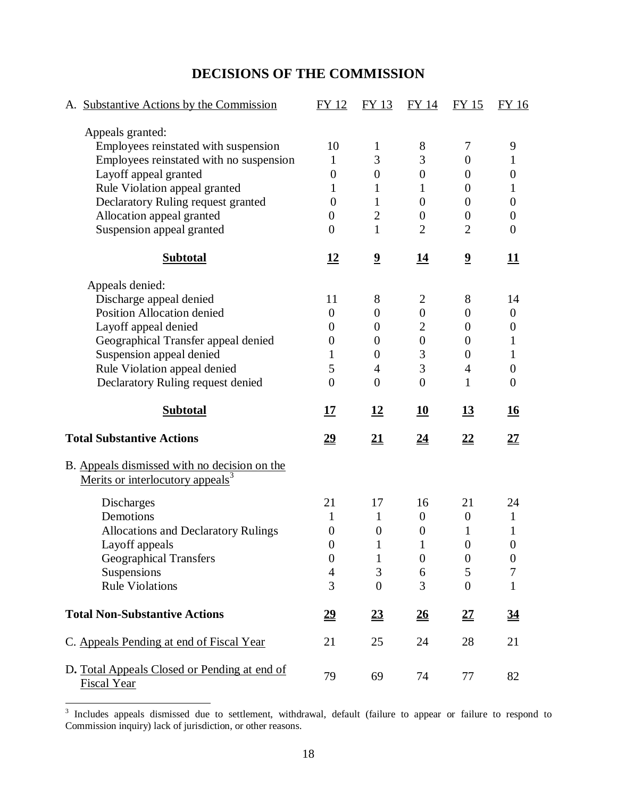## **DECISIONS OF THE COMMISSION**

| A. Substantive Actions by the Commission                                                     | FY 12                              | FY 13                   | FY 14                        | <b>FY 15</b>            | <b>FY 16</b>          |
|----------------------------------------------------------------------------------------------|------------------------------------|-------------------------|------------------------------|-------------------------|-----------------------|
| Appeals granted:                                                                             |                                    |                         |                              |                         |                       |
| Employees reinstated with suspension                                                         | 10                                 | $\mathbf 1$             | 8                            | 7                       | 9                     |
| Employees reinstated with no suspension                                                      | $\mathbf{1}$                       | 3                       | 3                            | $\theta$                | 1                     |
| Layoff appeal granted                                                                        | $\overline{0}$                     | $\theta$                | $\boldsymbol{0}$             | $\theta$                | $\boldsymbol{0}$      |
| Rule Violation appeal granted                                                                | 1                                  | 1                       | 1                            | $\theta$                | 1                     |
| Declaratory Ruling request granted                                                           | $\theta$                           | 1                       | $\overline{0}$               | $\theta$                | $\boldsymbol{0}$      |
| Allocation appeal granted                                                                    | $\overline{0}$                     | $\overline{2}$          | $\boldsymbol{0}$             | $\boldsymbol{0}$        | $\overline{0}$        |
| Suspension appeal granted                                                                    | $\overline{0}$                     | $\mathbf{1}$            | $\overline{2}$               | $\overline{2}$          | $\overline{0}$        |
| <b>Subtotal</b>                                                                              | <u>12</u>                          | $\overline{\mathbf{2}}$ | <u>14</u>                    | $\overline{\mathbf{2}}$ | 11                    |
| Appeals denied:                                                                              |                                    |                         |                              |                         |                       |
| Discharge appeal denied                                                                      | 11                                 | 8                       | $\overline{2}$               | 8                       | 14                    |
| Position Allocation denied                                                                   | $\boldsymbol{0}$                   | $\theta$                | $\boldsymbol{0}$             | $\theta$                | $\boldsymbol{0}$      |
| Layoff appeal denied                                                                         | 0                                  | $\overline{0}$          | $\overline{2}$               | $\theta$                | 0                     |
| Geographical Transfer appeal denied                                                          | $\boldsymbol{0}$                   | $\overline{0}$          | $\boldsymbol{0}$             | $\theta$                | 1                     |
| Suspension appeal denied                                                                     | 1                                  | $\theta$                | 3                            | $\theta$                | 1                     |
| Rule Violation appeal denied                                                                 | 5                                  | $\overline{4}$          | 3                            | $\overline{4}$          | $\theta$              |
| Declaratory Ruling request denied                                                            | $\overline{0}$                     | $\overline{0}$          | $\overline{0}$               | 1                       | $\theta$              |
| <b>Subtotal</b>                                                                              | <u> 17</u>                         | <u>12</u>               | 10                           | <u>13</u>               | <u>16</u>             |
| <b>Total Substantive Actions</b>                                                             | <u>29</u>                          | <u>21</u>               | 24                           | <u>22</u>               | <u>27</u>             |
|                                                                                              |                                    |                         |                              |                         |                       |
| B. Appeals dismissed with no decision on the<br>Merits or interlocutory appeals <sup>3</sup> |                                    |                         |                              |                         |                       |
|                                                                                              | 21                                 |                         |                              | 21                      |                       |
| Discharges                                                                                   | 1                                  | 17                      | 16                           |                         | 24                    |
| Demotions                                                                                    |                                    | $\mathbf{1}$            | $\boldsymbol{0}$             | $\boldsymbol{0}$        | $\mathbf{1}$          |
| <b>Allocations and Declaratory Rulings</b>                                                   | $\boldsymbol{0}$<br>$\overline{0}$ | $\boldsymbol{0}$<br>1   | $\boldsymbol{0}$<br>1        | 1<br>$\overline{0}$     | 1<br>$\boldsymbol{0}$ |
| Layoff appeals                                                                               |                                    | $\mathbf{1}$            |                              |                         |                       |
| <b>Geographical Transfers</b>                                                                | $\boldsymbol{0}$                   |                         | $\boldsymbol{0}$             | $\boldsymbol{0}$        | $\boldsymbol{0}$<br>7 |
| Suspensions<br><b>Rule Violations</b>                                                        | $\overline{4}$<br>3                | 3<br>$\overline{0}$     | 6<br>3                       | 5<br>$\overline{0}$     | $\mathbf{1}$          |
| <b>Total Non-Substantive Actions</b>                                                         | $\underline{29}$                   | 23                      | $\underline{\underline{26}}$ | 27                      | <u>34</u>             |
| C. Appeals Pending at end of Fiscal Year                                                     | 21                                 | 25                      | 24                           | 28                      | 21                    |

<sup>&</sup>lt;sup>3</sup> Includes appeals dismissed due to settlement, withdrawal, default (failure to appear or failure to respond to Commission inquiry) lack of jurisdiction, or other reasons.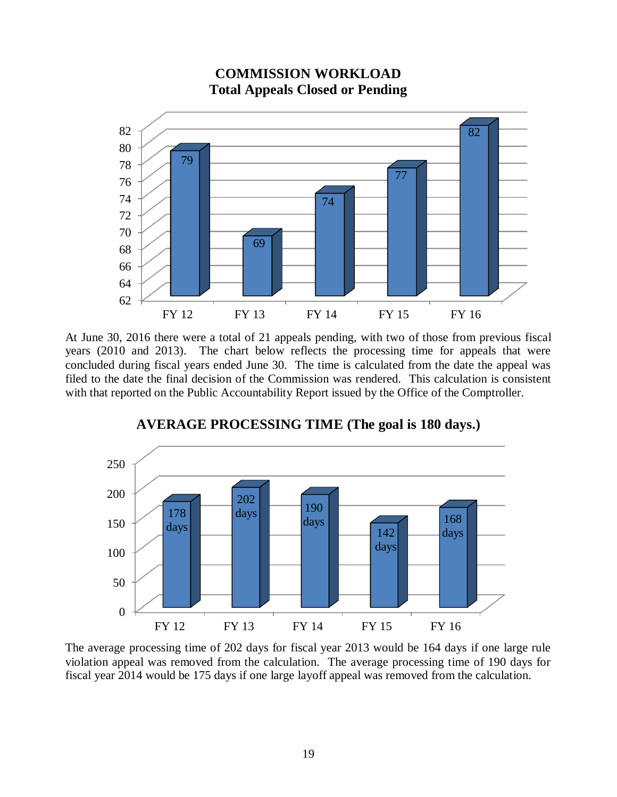

**COMMISSION WORKLOAD Total Appeals Closed or Pending**

At June 30, 2016 there were a total of 21 appeals pending, with two of those from previous fiscal years (2010 and 2013). The chart below reflects the processing time for appeals that were concluded during fiscal years ended June 30. The time is calculated from the date the appeal was filed to the date the final decision of the Commission was rendered. This calculation is consistent with that reported on the Public Accountability Report issued by the Office of the Comptroller.



#### **AVERAGE PROCESSING TIME (The goal is 180 days.)**

The average processing time of 202 days for fiscal year 2013 would be 164 days if one large rule violation appeal was removed from the calculation. The average processing time of 190 days for fiscal year 2014 would be 175 days if one large layoff appeal was removed from the calculation.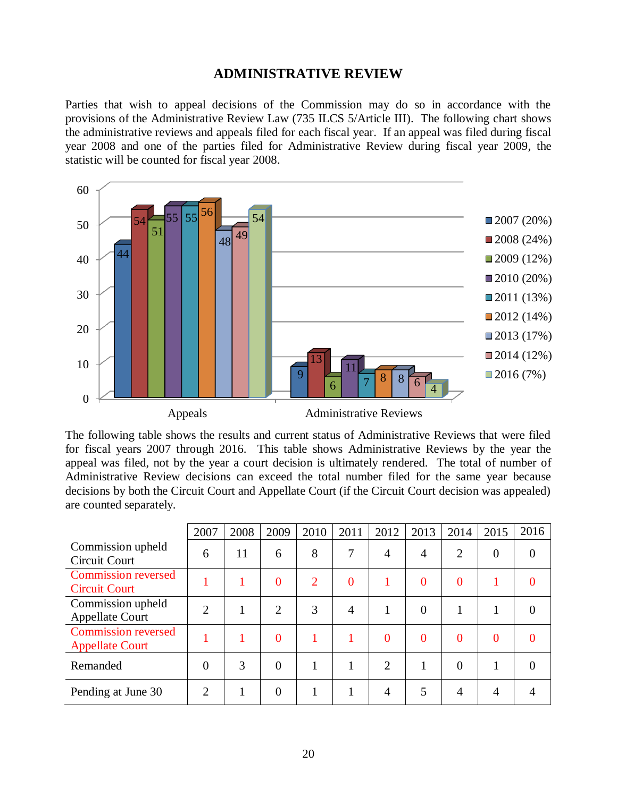#### **ADMINISTRATIVE REVIEW**

Parties that wish to appeal decisions of the Commission may do so in accordance with the provisions of the Administrative Review Law (735 ILCS 5/Article III). The following chart shows the administrative reviews and appeals filed for each fiscal year. If an appeal was filed during fiscal year 2008 and one of the parties filed for Administrative Review during fiscal year 2009, the statistic will be counted for fiscal year 2008.



The following table shows the results and current status of Administrative Reviews that were filed for fiscal years 2007 through 2016. This table shows Administrative Reviews by the year the appeal was filed, not by the year a court decision is ultimately rendered. The total of number of Administrative Review decisions can exceed the total number filed for the same year because decisions by both the Circuit Court and Appellate Court (if the Circuit Court decision was appealed) are counted separately.

|                                                      | 2007           | 2008 | 2009           | 2010 | 2011           | 2012           | 2013           | 2014           | 2015         | 2016           |
|------------------------------------------------------|----------------|------|----------------|------|----------------|----------------|----------------|----------------|--------------|----------------|
| Commission upheld<br>Circuit Court                   | 6              | 11   | 6              | 8    | 7              | $\overline{4}$ | $\overline{4}$ | $\overline{2}$ | $\theta$     | $\overline{0}$ |
| <b>Commission reversed</b><br><b>Circuit Court</b>   |                |      | $\theta$       | 2    | $\Omega$       |                | $\theta$       | $\overline{0}$ |              | $\theta$       |
| Commission upheld<br><b>Appellate Court</b>          | $\overline{2}$ |      | $\overline{2}$ | 3    | $\overline{A}$ |                | $\theta$       |                |              | $\theta$       |
| <b>Commission reversed</b><br><b>Appellate Court</b> |                |      | $\overline{0}$ |      |                | $\theta$       | $\theta$       | $\overline{0}$ | $\mathbf{0}$ | $\Omega$       |
| Remanded                                             | $\theta$       | 3    | $\theta$       |      |                | 2              |                | $\theta$       |              | $\Omega$       |
| Pending at June 30                                   | $\overline{2}$ |      | $\overline{0}$ |      |                | $\overline{4}$ | 5              | 4              | 4            |                |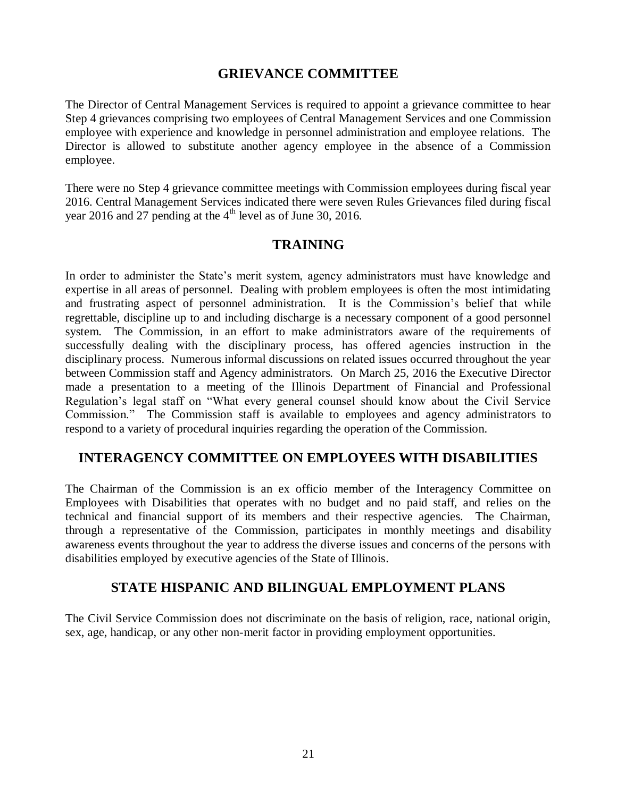#### **GRIEVANCE COMMITTEE**

The Director of Central Management Services is required to appoint a grievance committee to hear Step 4 grievances comprising two employees of Central Management Services and one Commission employee with experience and knowledge in personnel administration and employee relations. The Director is allowed to substitute another agency employee in the absence of a Commission employee.

There were no Step 4 grievance committee meetings with Commission employees during fiscal year 2016. Central Management Services indicated there were seven Rules Grievances filed during fiscal year 2016 and 27 pending at the  $4<sup>th</sup>$  level as of June 30, 2016.

## **TRAINING**

In order to administer the State's merit system, agency administrators must have knowledge and expertise in all areas of personnel. Dealing with problem employees is often the most intimidating and frustrating aspect of personnel administration. It is the Commission's belief that while regrettable, discipline up to and including discharge is a necessary component of a good personnel system. The Commission, in an effort to make administrators aware of the requirements of successfully dealing with the disciplinary process, has offered agencies instruction in the disciplinary process. Numerous informal discussions on related issues occurred throughout the year between Commission staff and Agency administrators. On March 25, 2016 the Executive Director made a presentation to a meeting of the Illinois Department of Financial and Professional Regulation's legal staff on "What every general counsel should know about the Civil Service Commission." The Commission staff is available to employees and agency administrators to respond to a variety of procedural inquiries regarding the operation of the Commission.

## **INTERAGENCY COMMITTEE ON EMPLOYEES WITH DISABILITIES**

The Chairman of the Commission is an ex officio member of the Interagency Committee on Employees with Disabilities that operates with no budget and no paid staff, and relies on the technical and financial support of its members and their respective agencies. The Chairman, through a representative of the Commission, participates in monthly meetings and disability awareness events throughout the year to address the diverse issues and concerns of the persons with disabilities employed by executive agencies of the State of Illinois.

## **STATE HISPANIC AND BILINGUAL EMPLOYMENT PLANS**

The Civil Service Commission does not discriminate on the basis of religion, race, national origin, sex, age, handicap, or any other non-merit factor in providing employment opportunities.